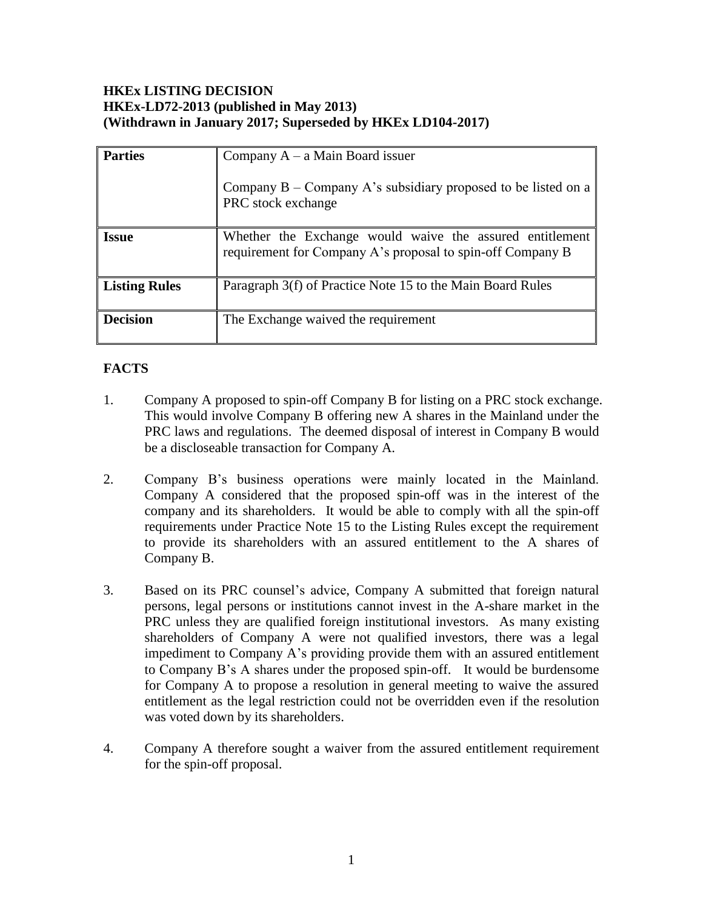# **HKEx LISTING DECISION HKEx-LD72-2013 (published in May 2013) (Withdrawn in January 2017; Superseded by HKEx LD104-2017)**

| <b>Parties</b>  | Company $A - a$ Main Board issuer<br>Company $B -$ Company A's subsidiary proposed to be listed on a                   |
|-----------------|------------------------------------------------------------------------------------------------------------------------|
|                 | PRC stock exchange                                                                                                     |
| <b>Issue</b>    | Whether the Exchange would waive the assured entitlement<br>requirement for Company A's proposal to spin-off Company B |
| Listing Rules   | Paragraph 3(f) of Practice Note 15 to the Main Board Rules                                                             |
| <b>Decision</b> | The Exchange waived the requirement                                                                                    |

# **FACTS**

- 1. Company A proposed to spin-off Company B for listing on a PRC stock exchange. This would involve Company B offering new A shares in the Mainland under the PRC laws and regulations. The deemed disposal of interest in Company B would be a discloseable transaction for Company A.
- 2. Company B's business operations were mainly located in the Mainland. Company A considered that the proposed spin-off was in the interest of the company and its shareholders. It would be able to comply with all the spin-off requirements under Practice Note 15 to the Listing Rules except the requirement to provide its shareholders with an assured entitlement to the A shares of Company B.
- 3. Based on its PRC counsel's advice, Company A submitted that foreign natural persons, legal persons or institutions cannot invest in the A-share market in the PRC unless they are qualified foreign institutional investors. As many existing shareholders of Company A were not qualified investors, there was a legal impediment to Company A's providing provide them with an assured entitlement to Company B's A shares under the proposed spin-off. It would be burdensome for Company A to propose a resolution in general meeting to waive the assured entitlement as the legal restriction could not be overridden even if the resolution was voted down by its shareholders.
- 4. Company A therefore sought a waiver from the assured entitlement requirement for the spin-off proposal.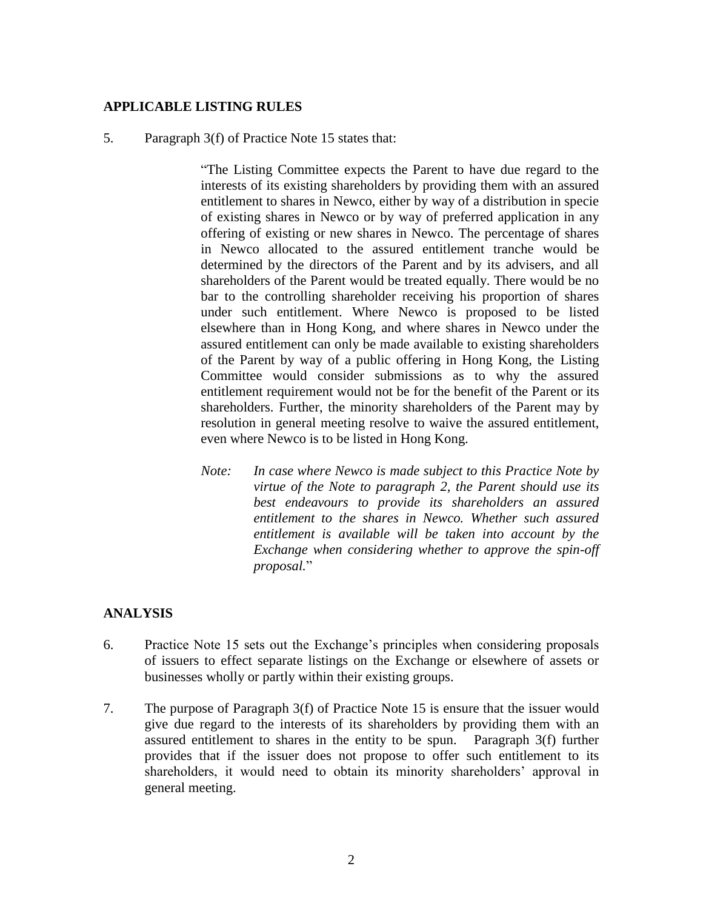## **APPLICABLE LISTING RULES**

#### 5. Paragraph 3(f) of Practice Note 15 states that:

"The Listing Committee expects the Parent to have due regard to the interests of its existing shareholders by providing them with an assured entitlement to shares in Newco, either by way of a distribution in specie of existing shares in Newco or by way of preferred application in any offering of existing or new shares in Newco. The percentage of shares in Newco allocated to the assured entitlement tranche would be determined by the directors of the Parent and by its advisers, and all shareholders of the Parent would be treated equally. There would be no bar to the controlling shareholder receiving his proportion of shares under such entitlement. Where Newco is proposed to be listed elsewhere than in Hong Kong, and where shares in Newco under the assured entitlement can only be made available to existing shareholders of the Parent by way of a public offering in Hong Kong, the Listing Committee would consider submissions as to why the assured entitlement requirement would not be for the benefit of the Parent or its shareholders. Further, the minority shareholders of the Parent may by resolution in general meeting resolve to waive the assured entitlement, even where Newco is to be listed in Hong Kong.

*Note: In case where Newco is made subject to this Practice Note by virtue of the Note to paragraph 2, the Parent should use its best endeavours to provide its shareholders an assured entitlement to the shares in Newco. Whether such assured entitlement is available will be taken into account by the Exchange when considering whether to approve the spin-off proposal.*"

### **ANALYSIS**

- 6. Practice Note 15 sets out the Exchange's principles when considering proposals of issuers to effect separate listings on the Exchange or elsewhere of assets or businesses wholly or partly within their existing groups.
- 7. The purpose of Paragraph 3(f) of Practice Note 15 is ensure that the issuer would give due regard to the interests of its shareholders by providing them with an assured entitlement to shares in the entity to be spun. Paragraph 3(f) further provides that if the issuer does not propose to offer such entitlement to its shareholders, it would need to obtain its minority shareholders' approval in general meeting.